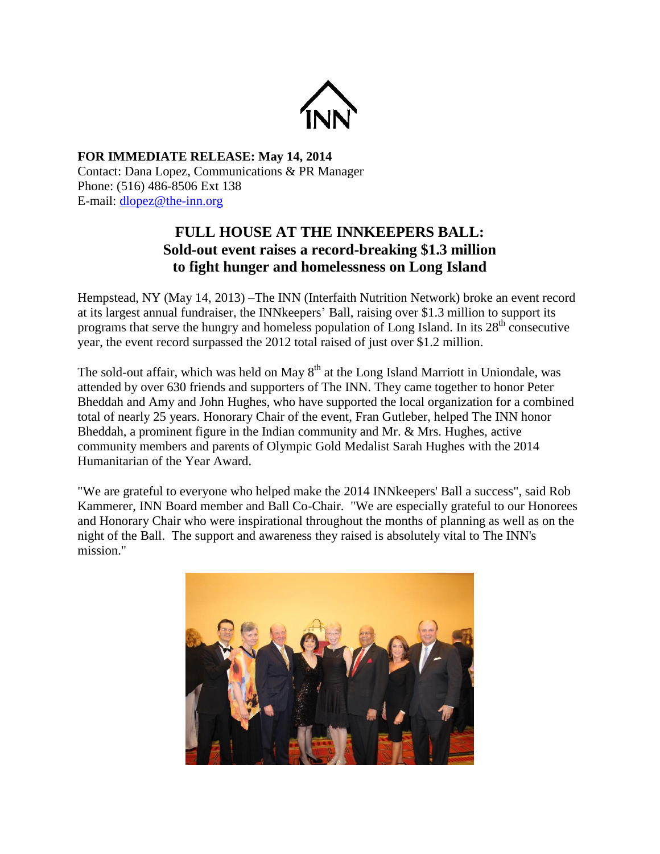

## **FOR IMMEDIATE RELEASE: May 14, 2014** Contact: Dana Lopez, Communications & PR Manager Phone: (516) 486-8506 Ext 138 E-mail: [dlopez@the-inn.org](mailto:dlopez@the-inn.org)

## **FULL HOUSE AT THE INNKEEPERS BALL: Sold-out event raises a record-breaking \$1.3 million to fight hunger and homelessness on Long Island**

Hempstead, NY (May 14, 2013) –The INN (Interfaith Nutrition Network) broke an event record at its largest annual fundraiser, the INNkeepers' Ball, raising over \$1.3 million to support its programs that serve the hungry and homeless population of Long Island. In its  $28<sup>th</sup>$  consecutive year, the event record surpassed the 2012 total raised of just over \$1.2 million.

The sold-out affair, which was held on May  $8<sup>th</sup>$  at the Long Island Marriott in Uniondale, was attended by over 630 friends and supporters of The INN. They came together to honor Peter Bheddah and Amy and John Hughes, who have supported the local organization for a combined total of nearly 25 years. Honorary Chair of the event, Fran Gutleber, helped The INN honor Bheddah, a prominent figure in the Indian community and Mr. & Mrs. Hughes, active community members and parents of Olympic Gold Medalist Sarah Hughes with the 2014 Humanitarian of the Year Award.

"We are grateful to everyone who helped make the 2014 INNkeepers' Ball a success", said Rob Kammerer, INN Board member and Ball Co-Chair. "We are especially grateful to our Honorees and Honorary Chair who were inspirational throughout the months of planning as well as on the night of the Ball. The support and awareness they raised is absolutely vital to The INN's mission."